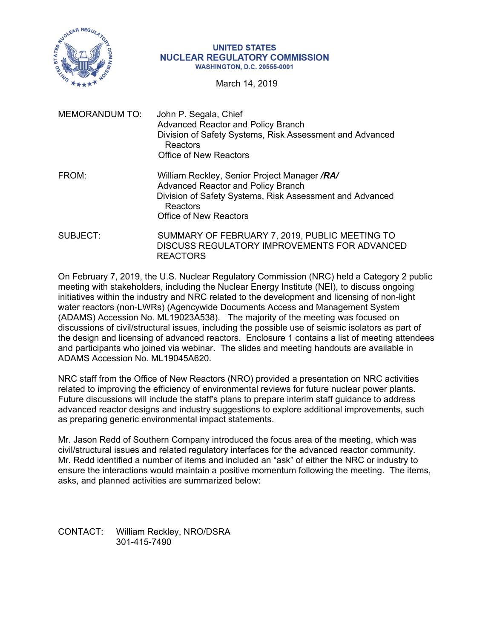

## **UNITED STATES NUCLEAR REGULATORY COMMISSION WASHINGTON, D.C. 20555-0001**

March 14, 2019

| <b>MEMORANDUM TO:</b> | John P. Segala, Chief<br><b>Advanced Reactor and Policy Branch</b><br>Division of Safety Systems, Risk Assessment and Advanced<br>Reactors<br>Office of New Reactors                        |
|-----------------------|---------------------------------------------------------------------------------------------------------------------------------------------------------------------------------------------|
| FROM:                 | William Reckley, Senior Project Manager /RA/<br><b>Advanced Reactor and Policy Branch</b><br>Division of Safety Systems, Risk Assessment and Advanced<br>Reactors<br>Office of New Reactors |
| SUBJECT:              | SUMMARY OF FEBRUARY 7, 2019, PUBLIC MEETING TO<br>DISCUSS REGULATORY IMPROVEMENTS FOR ADVANCED<br><b>REACTORS</b>                                                                           |

On February 7, 2019, the U.S. Nuclear Regulatory Commission (NRC) held a Category 2 public meeting with stakeholders, including the Nuclear Energy Institute (NEI), to discuss ongoing initiatives within the industry and NRC related to the development and licensing of non-light water reactors (non-LWRs) (Agencywide Documents Access and Management System (ADAMS) Accession No. ML19023A538). The majority of the meeting was focused on discussions of civil/structural issues, including the possible use of seismic isolators as part of the design and licensing of advanced reactors. Enclosure 1 contains a list of meeting attendees and participants who joined via webinar. The slides and meeting handouts are available in ADAMS Accession No. ML19045A620.

NRC staff from the Office of New Reactors (NRO) provided a presentation on NRC activities related to improving the efficiency of environmental reviews for future nuclear power plants. Future discussions will include the staff's plans to prepare interim staff guidance to address advanced reactor designs and industry suggestions to explore additional improvements, such as preparing generic environmental impact statements.

Mr. Jason Redd of Southern Company introduced the focus area of the meeting, which was civil/structural issues and related regulatory interfaces for the advanced reactor community. Mr. Redd identified a number of items and included an "ask" of either the NRC or industry to ensure the interactions would maintain a positive momentum following the meeting. The items, asks, and planned activities are summarized below:

CONTACT: William Reckley, NRO/DSRA 301-415-7490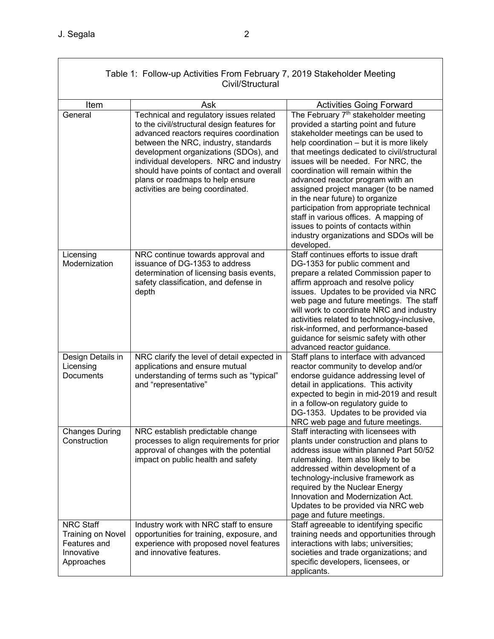$\Gamma$ 

| Table 1: Follow-up Activities From February 7, 2019 Stakeholder Meeting<br>Civil/Structural |                                                                                                                                                                                                                                                                                                                                                                                     |                                                                                                                                                                                                                                                                                                                                                                                                                                                                                                                                                                                                                 |  |
|---------------------------------------------------------------------------------------------|-------------------------------------------------------------------------------------------------------------------------------------------------------------------------------------------------------------------------------------------------------------------------------------------------------------------------------------------------------------------------------------|-----------------------------------------------------------------------------------------------------------------------------------------------------------------------------------------------------------------------------------------------------------------------------------------------------------------------------------------------------------------------------------------------------------------------------------------------------------------------------------------------------------------------------------------------------------------------------------------------------------------|--|
| Item                                                                                        | Ask                                                                                                                                                                                                                                                                                                                                                                                 | <b>Activities Going Forward</b>                                                                                                                                                                                                                                                                                                                                                                                                                                                                                                                                                                                 |  |
| General                                                                                     | Technical and regulatory issues related<br>to the civil/structural design features for<br>advanced reactors requires coordination<br>between the NRC, industry, standards<br>development organizations (SDOs), and<br>individual developers. NRC and industry<br>should have points of contact and overall<br>plans or roadmaps to help ensure<br>activities are being coordinated. | The February 7 <sup>th</sup> stakeholder meeting<br>provided a starting point and future<br>stakeholder meetings can be used to<br>help coordination - but it is more likely<br>that meetings dedicated to civil/structural<br>issues will be needed. For NRC, the<br>coordination will remain within the<br>advanced reactor program with an<br>assigned project manager (to be named<br>in the near future) to organize<br>participation from appropriate technical<br>staff in various offices. A mapping of<br>issues to points of contacts within<br>industry organizations and SDOs will be<br>developed. |  |
| Licensing<br>Modernization                                                                  | NRC continue towards approval and<br>issuance of DG-1353 to address<br>determination of licensing basis events,<br>safety classification, and defense in<br>depth                                                                                                                                                                                                                   | Staff continues efforts to issue draft<br>DG-1353 for public comment and<br>prepare a related Commission paper to<br>affirm approach and resolve policy<br>issues. Updates to be provided via NRC<br>web page and future meetings. The staff<br>will work to coordinate NRC and industry<br>activities related to technology-inclusive,<br>risk-informed, and performance-based<br>guidance for seismic safety with other<br>advanced reactor guidance.                                                                                                                                                         |  |
| Design Details in<br>Licensing<br>Documents                                                 | NRC clarify the level of detail expected in<br>applications and ensure mutual<br>understanding of terms such as "typical"<br>and "representative"                                                                                                                                                                                                                                   | Staff plans to interface with advanced<br>reactor community to develop and/or<br>endorse guidance addressing level of<br>detail in applications. This activity<br>expected to begin in mid-2019 and result<br>in a follow-on regulatory guide to<br>DG-1353. Updates to be provided via<br>NRC web page and future meetings.                                                                                                                                                                                                                                                                                    |  |
| <b>Changes During</b><br>Construction                                                       | NRC establish predictable change<br>processes to align requirements for prior<br>approval of changes with the potential<br>impact on public health and safety                                                                                                                                                                                                                       | Staff interacting with licensees with<br>plants under construction and plans to<br>address issue within planned Part 50/52<br>rulemaking. Item also likely to be<br>addressed within development of a<br>technology-inclusive framework as<br>required by the Nuclear Energy<br>Innovation and Modernization Act.<br>Updates to be provided via NRC web<br>page and future meetings.                                                                                                                                                                                                                            |  |
| <b>NRC Staff</b><br><b>Training on Novel</b><br>Features and<br>Innovative<br>Approaches    | Industry work with NRC staff to ensure<br>opportunities for training, exposure, and<br>experience with proposed novel features<br>and innovative features.                                                                                                                                                                                                                          | Staff agreeable to identifying specific<br>training needs and opportunities through<br>interactions with labs; universities;<br>societies and trade organizations; and<br>specific developers, licensees, or<br>applicants.                                                                                                                                                                                                                                                                                                                                                                                     |  |

⅂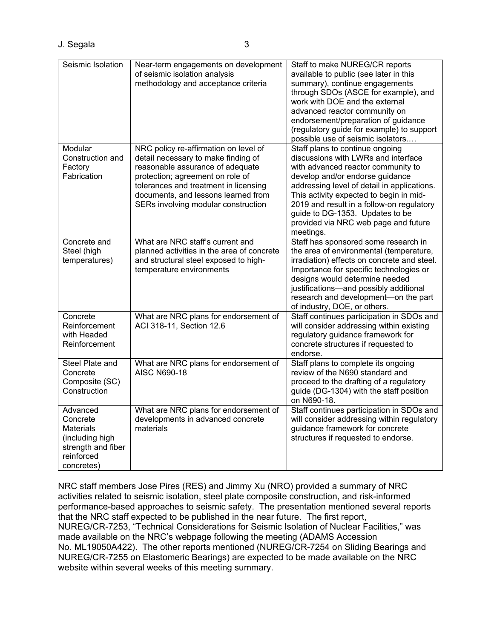J. Segala 3

| Seismic Isolation  | Near-term engagements on development       | Staff to make NUREG/CR reports              |
|--------------------|--------------------------------------------|---------------------------------------------|
|                    | of seismic isolation analysis              | available to public (see later in this      |
|                    | methodology and acceptance criteria        | summary), continue engagements              |
|                    |                                            | through SDOs (ASCE for example), and        |
|                    |                                            | work with DOE and the external              |
|                    |                                            | advanced reactor community on               |
|                    |                                            | endorsement/preparation of guidance         |
|                    |                                            | (regulatory guide for example) to support   |
|                    |                                            | possible use of seismic isolators           |
| Modular            | NRC policy re-affirmation on level of      | Staff plans to continue ongoing             |
| Construction and   | detail necessary to make finding of        | discussions with LWRs and interface         |
| Factory            | reasonable assurance of adequate           | with advanced reactor community to          |
| Fabrication        | protection; agreement on role of           | develop and/or endorse guidance             |
|                    | tolerances and treatment in licensing      | addressing level of detail in applications. |
|                    | documents, and lessons learned from        | This activity expected to begin in mid-     |
|                    | SERs involving modular construction        | 2019 and result in a follow-on regulatory   |
|                    |                                            | guide to DG-1353. Updates to be             |
|                    |                                            | provided via NRC web page and future        |
|                    |                                            | meetings.                                   |
| Concrete and       | What are NRC staff's current and           | Staff has sponsored some research in        |
| Steel (high        | planned activities in the area of concrete | the area of environmental (temperature,     |
| temperatures)      | and structural steel exposed to high-      | irradiation) effects on concrete and steel. |
|                    | temperature environments                   | Importance for specific technologies or     |
|                    |                                            | designs would determine needed              |
|                    |                                            | justifications-and possibly additional      |
|                    |                                            | research and development-on the part        |
|                    |                                            | of industry, DOE, or others.                |
| Concrete           | What are NRC plans for endorsement of      | Staff continues participation in SDOs and   |
| Reinforcement      | ACI 318-11, Section 12.6                   | will consider addressing within existing    |
| with Headed        |                                            | regulatory guidance framework for           |
| Reinforcement      |                                            | concrete structures if requested to         |
|                    |                                            | endorse.                                    |
| Steel Plate and    | What are NRC plans for endorsement of      | Staff plans to complete its ongoing         |
| Concrete           | <b>AISC N690-18</b>                        | review of the N690 standard and             |
| Composite (SC)     |                                            | proceed to the drafting of a regulatory     |
| Construction       |                                            | guide (DG-1304) with the staff position     |
|                    |                                            | on N690-18.                                 |
| Advanced           | What are NRC plans for endorsement of      | Staff continues participation in SDOs and   |
| Concrete           | developments in advanced concrete          | will consider addressing within regulatory  |
| <b>Materials</b>   | materials                                  | guidance framework for concrete             |
| (including high    |                                            | structures if requested to endorse.         |
| strength and fiber |                                            |                                             |
| reinforced         |                                            |                                             |
| concretes)         |                                            |                                             |

NRC staff members Jose Pires (RES) and Jimmy Xu (NRO) provided a summary of NRC activities related to seismic isolation, steel plate composite construction, and risk-informed performance-based approaches to seismic safety. The presentation mentioned several reports that the NRC staff expected to be published in the near future. The first report, NUREG/CR-7253, "Technical Considerations for Seismic Isolation of Nuclear Facilities," was made available on the NRC's webpage following the meeting (ADAMS Accession No. ML19050A422). The other reports mentioned (NUREG/CR-7254 on Sliding Bearings and NUREG/CR-7255 on Elastomeric Bearings) are expected to be made available on the NRC website within several weeks of this meeting summary.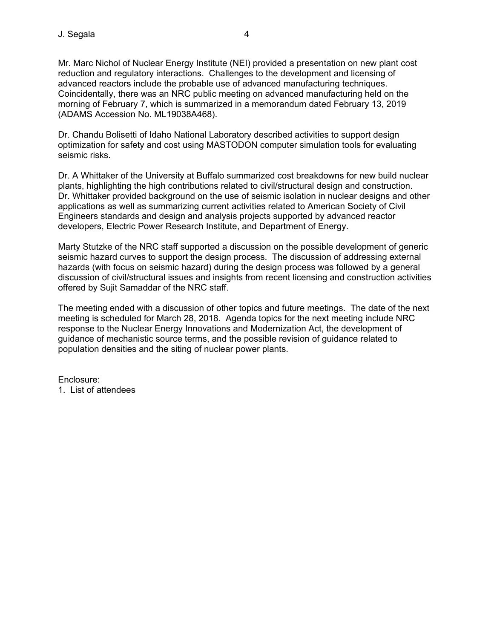Mr. Marc Nichol of Nuclear Energy Institute (NEI) provided a presentation on new plant cost reduction and regulatory interactions. Challenges to the development and licensing of advanced reactors include the probable use of advanced manufacturing techniques. Coincidentally, there was an NRC public meeting on advanced manufacturing held on the morning of February 7, which is summarized in a memorandum dated February 13, 2019 (ADAMS Accession No. ML19038A468).

Dr. Chandu Bolisetti of Idaho National Laboratory described activities to support design optimization for safety and cost using MASTODON computer simulation tools for evaluating seismic risks.

Dr. A Whittaker of the University at Buffalo summarized cost breakdowns for new build nuclear plants, highlighting the high contributions related to civil/structural design and construction. Dr. Whittaker provided background on the use of seismic isolation in nuclear designs and other applications as well as summarizing current activities related to American Society of Civil Engineers standards and design and analysis projects supported by advanced reactor developers, Electric Power Research Institute, and Department of Energy.

Marty Stutzke of the NRC staff supported a discussion on the possible development of generic seismic hazard curves to support the design process. The discussion of addressing external hazards (with focus on seismic hazard) during the design process was followed by a general discussion of civil/structural issues and insights from recent licensing and construction activities offered by Sujit Samaddar of the NRC staff.

The meeting ended with a discussion of other topics and future meetings. The date of the next meeting is scheduled for March 28, 2018. Agenda topics for the next meeting include NRC response to the Nuclear Energy Innovations and Modernization Act, the development of guidance of mechanistic source terms, and the possible revision of guidance related to population densities and the siting of nuclear power plants.

Enclosure: 1. List of attendees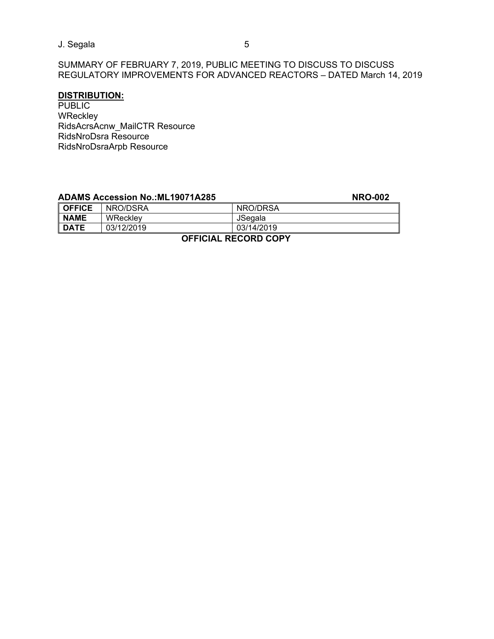J. Segala 5

SUMMARY OF FEBRUARY 7, 2019, PUBLIC MEETING TO DISCUSS TO DISCUSS REGULATORY IMPROVEMENTS FOR ADVANCED REACTORS – DATED March 14, 2019

## **DISTRIBUTION:**

PUBLIC **WReckley** RidsAcrsAcnw\_MailCTR Resource RidsNroDsra Resource RidsNroDsraArpb Resource

|                      | <b>ADAMS Accession No.: ML19071A285</b> |            | <b>NRO-002</b> |
|----------------------|-----------------------------------------|------------|----------------|
| <b>OFFICE</b>        | NRO/DSRA                                | NRO/DRSA   |                |
| <b>NAME</b>          | WRecklev                                | JSegala    |                |
| <b>DATE</b>          | 03/12/2019                              | 03/14/2019 |                |
| AFFIAILL BEAARD AABV |                                         |            |                |

 **OFFICIAL RECORD COPY**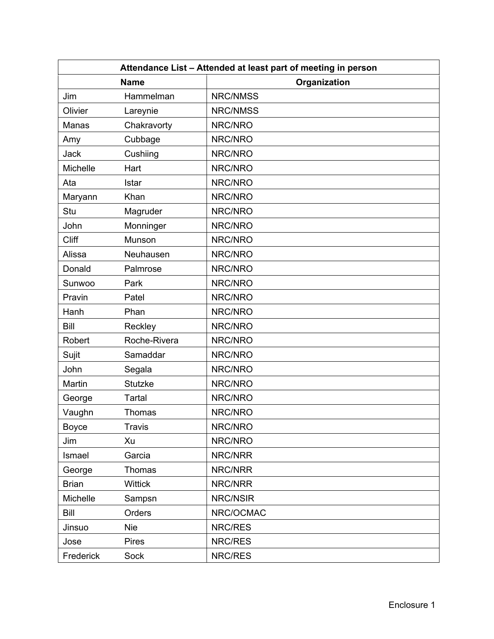| Attendance List - Attended at least part of meeting in person |                |              |
|---------------------------------------------------------------|----------------|--------------|
| <b>Name</b>                                                   |                | Organization |
| Jim                                                           | Hammelman      | NRC/NMSS     |
| Olivier                                                       | Lareynie       | NRC/NMSS     |
| Manas                                                         | Chakravorty    | NRC/NRO      |
| Amy                                                           | Cubbage        | NRC/NRO      |
| <b>Jack</b>                                                   | Cushiing       | NRC/NRO      |
| Michelle                                                      | Hart           | NRC/NRO      |
| Ata                                                           | Istar          | NRC/NRO      |
| Maryann                                                       | Khan           | NRC/NRO      |
| Stu                                                           | Magruder       | NRC/NRO      |
| John                                                          | Monninger      | NRC/NRO      |
| Cliff                                                         | Munson         | NRC/NRO      |
| Alissa                                                        | Neuhausen      | NRC/NRO      |
| Donald                                                        | Palmrose       | NRC/NRO      |
| Sunwoo                                                        | Park           | NRC/NRO      |
| Pravin                                                        | Patel          | NRC/NRO      |
| Hanh                                                          | Phan           | NRC/NRO      |
| Bill                                                          | Reckley        | NRC/NRO      |
| Robert                                                        | Roche-Rivera   | NRC/NRO      |
| Sujit                                                         | Samaddar       | NRC/NRO      |
| John                                                          | Segala         | NRC/NRO      |
| Martin                                                        | <b>Stutzke</b> | NRC/NRO      |
| George                                                        | Tartal         | NRC/NRO      |
| Vaughn                                                        | Thomas         | NRC/NRO      |
| Boyce                                                         | <b>Travis</b>  | NRC/NRO      |
| Jim                                                           | Xu             | NRC/NRO      |
| Ismael                                                        | Garcia         | NRC/NRR      |
| George                                                        | Thomas         | NRC/NRR      |
| <b>Brian</b>                                                  | <b>Wittick</b> | NRC/NRR      |
| Michelle                                                      | Sampsn         | NRC/NSIR     |
| Bill                                                          | Orders         | NRC/OCMAC    |
| Jinsuo                                                        | <b>Nie</b>     | NRC/RES      |
| Jose                                                          | <b>Pires</b>   | NRC/RES      |
| Frederick                                                     | Sock           | NRC/RES      |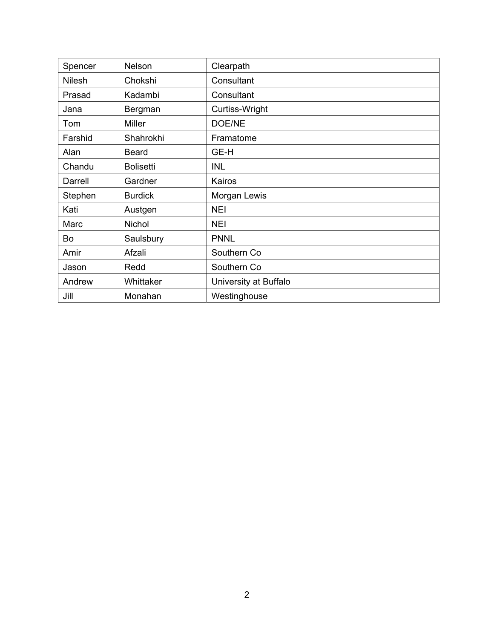| Spencer       | Nelson           | Clearpath             |
|---------------|------------------|-----------------------|
| <b>Nilesh</b> | Chokshi          | Consultant            |
| Prasad        | Kadambi          | Consultant            |
| Jana          | Bergman          | Curtiss-Wright        |
| Tom           | <b>Miller</b>    | DOE/NE                |
| Farshid       | Shahrokhi        | Framatome             |
| Alan          | <b>Beard</b>     | GE-H                  |
| Chandu        | <b>Bolisetti</b> | <b>INL</b>            |
| Darrell       | Gardner          | Kairos                |
| Stephen       | <b>Burdick</b>   | Morgan Lewis          |
| Kati          | Austgen          | <b>NEI</b>            |
| Marc          | Nichol           | <b>NEI</b>            |
| Bo            | Saulsbury        | <b>PNNL</b>           |
| Amir          | Afzali           | Southern Co           |
| Jason         | Redd             | Southern Co           |
| Andrew        | Whittaker        | University at Buffalo |
| Jill          | Monahan          | Westinghouse          |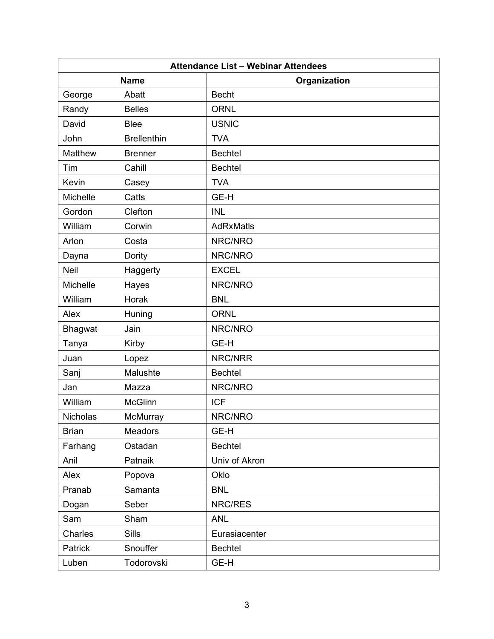| <b>Attendance List - Webinar Attendees</b> |                             |                  |  |
|--------------------------------------------|-----------------------------|------------------|--|
|                                            | <b>Name</b><br>Organization |                  |  |
| George                                     | Abatt                       | <b>Becht</b>     |  |
| Randy                                      | <b>Belles</b>               | <b>ORNL</b>      |  |
| David                                      | <b>Blee</b>                 | <b>USNIC</b>     |  |
| John                                       | <b>Brellenthin</b>          | <b>TVA</b>       |  |
| Matthew                                    | <b>Brenner</b>              | <b>Bechtel</b>   |  |
| Tim                                        | Cahill                      | <b>Bechtel</b>   |  |
| Kevin                                      | Casey                       | <b>TVA</b>       |  |
| Michelle                                   | Catts                       | GE-H             |  |
| Gordon                                     | Clefton                     | <b>INL</b>       |  |
| William                                    | Corwin                      | <b>AdRxMatls</b> |  |
| Arlon                                      | Costa                       | NRC/NRO          |  |
| Dayna                                      | Dority                      | NRC/NRO          |  |
| <b>Neil</b>                                | Haggerty                    | <b>EXCEL</b>     |  |
| <b>Michelle</b>                            | Hayes                       | NRC/NRO          |  |
| William                                    | Horak                       | <b>BNL</b>       |  |
| Alex                                       | Huning                      | <b>ORNL</b>      |  |
| Bhagwat                                    | Jain                        | NRC/NRO          |  |
| Tanya                                      | Kirby                       | GE-H             |  |
| Juan                                       | Lopez                       | NRC/NRR          |  |
| Sanj                                       | Malushte                    | <b>Bechtel</b>   |  |
| Jan                                        | Mazza                       | NRC/NRO          |  |
| William                                    | <b>McGlinn</b>              | <b>ICF</b>       |  |
| Nicholas                                   | McMurray                    | NRC/NRO          |  |
| <b>Brian</b>                               | Meadors                     | GE-H             |  |
| Farhang                                    | Ostadan                     | <b>Bechtel</b>   |  |
| Anil                                       | Patnaik                     | Univ of Akron    |  |
| Alex                                       | Popova                      | Oklo             |  |
| Pranab                                     | Samanta                     | <b>BNL</b>       |  |
| Dogan                                      | Seber                       | NRC/RES          |  |
| Sam                                        | Sham                        | <b>ANL</b>       |  |
| Charles                                    | Sills                       | Eurasiacenter    |  |
| Patrick                                    | Snouffer                    | <b>Bechtel</b>   |  |
| Luben                                      | Todorovski                  | GE-H             |  |